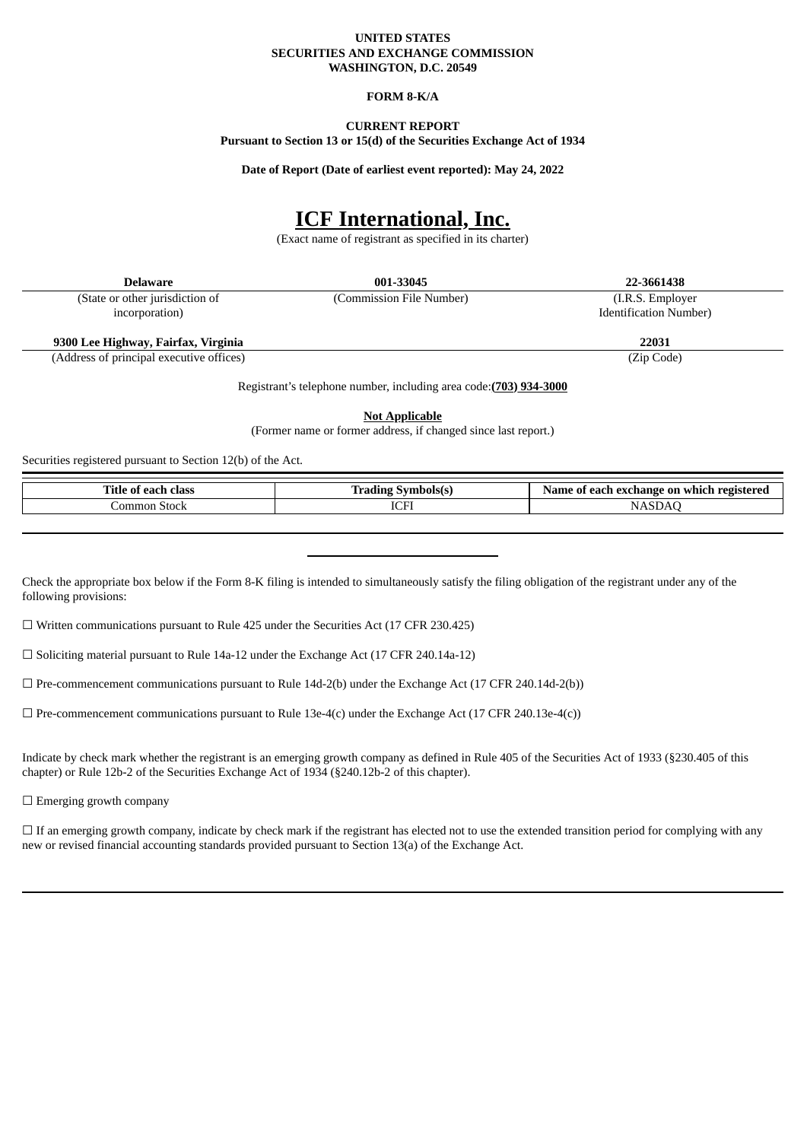#### **UNITED STATES SECURITIES AND EXCHANGE COMMISSION WASHINGTON, D.C. 20549**

## **FORM 8-K/A**

# **CURRENT REPORT**

**Pursuant to Section 13 or 15(d) of the Securities Exchange Act of 1934**

**Date of Report (Date of earliest event reported): May 24, 2022**

# **ICF International, Inc.**

(Exact name of registrant as specified in its charter)

| <b>Delaware</b>                          | 001-33045                | 22-3661438                    |
|------------------------------------------|--------------------------|-------------------------------|
| (State or other jurisdiction of          | (Commission File Number) | (I.R.S. Employer)             |
| incorporation)                           |                          | <b>Identification Number)</b> |
| 9300 Lee Highway, Fairfax, Virginia      |                          | 22031                         |
| (Address of principal executive offices) |                          | (Zip Code)                    |

Registrant's telephone number, including area code:**(703) 934-3000**

**Not Applicable**

(Former name or former address, if changed since last report.)

Securities registered pursuant to Section 12(b) of the Act.

| Title<br>elass<br>0.20<br>01<br>m | m.<br>aholele.<br>. | registered r<br>-exchange on<br>which<br>. A $200$<br>$\mathbf{u}$<br>.ne<br>-- |
|-----------------------------------|---------------------|---------------------------------------------------------------------------------|
| ٦m<br>ımor<br>Stocr               | ---<br>7a t         | יי                                                                              |

Check the appropriate box below if the Form 8-K filing is intended to simultaneously satisfy the filing obligation of the registrant under any of the following provisions:

☐ Written communications pursuant to Rule 425 under the Securities Act (17 CFR 230.425)

☐ Soliciting material pursuant to Rule 14a-12 under the Exchange Act (17 CFR 240.14a-12)

 $\Box$  Pre-commencement communications pursuant to Rule 14d-2(b) under the Exchange Act (17 CFR 240.14d-2(b))

 $\Box$  Pre-commencement communications pursuant to Rule 13e-4(c) under the Exchange Act (17 CFR 240.13e-4(c))

Indicate by check mark whether the registrant is an emerging growth company as defined in Rule 405 of the Securities Act of 1933 (§230.405 of this chapter) or Rule 12b-2 of the Securities Exchange Act of 1934 (§240.12b-2 of this chapter).

 $\Box$  Emerging growth company

 $\Box$  If an emerging growth company, indicate by check mark if the registrant has elected not to use the extended transition period for complying with any new or revised financial accounting standards provided pursuant to Section 13(a) of the Exchange Act.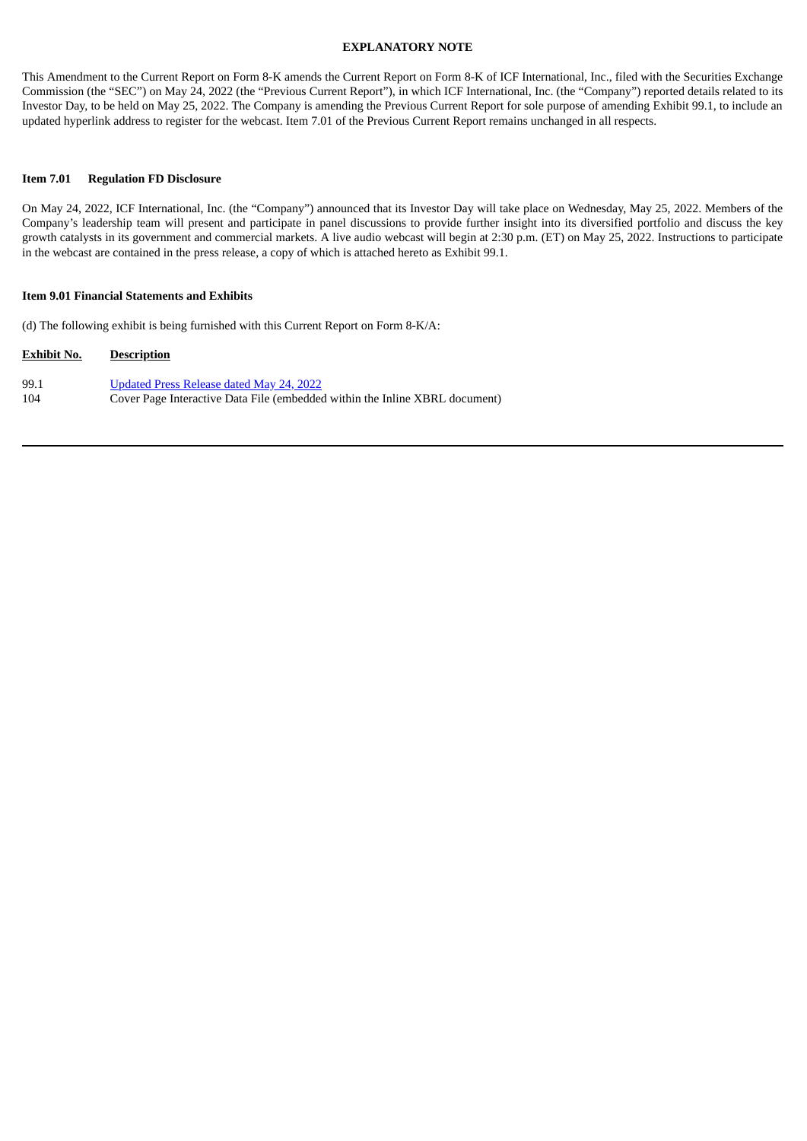#### **EXPLANATORY NOTE**

This Amendment to the Current Report on Form 8-K amends the Current Report on Form 8-K of ICF International, Inc., filed with the Securities Exchange Commission (the "SEC") on May 24, 2022 (the "Previous Current Report"), in which ICF International, Inc. (the "Company") reported details related to its Investor Day, to be held on May 25, 2022. The Company is amending the Previous Current Report for sole purpose of amending Exhibit 99.1, to include an updated hyperlink address to register for the webcast. Item 7.01 of the Previous Current Report remains unchanged in all respects.

#### **Item 7.01 Regulation FD Disclosure**

On May 24, 2022, ICF International, Inc. (the "Company") announced that its Investor Day will take place on Wednesday, May 25, 2022. Members of the Company's leadership team will present and participate in panel discussions to provide further insight into its diversified portfolio and discuss the key growth catalysts in its government and commercial markets. A live audio webcast will begin at 2:30 p.m. (ET) on May 25, 2022. Instructions to participate in the webcast are contained in the press release, a copy of which is attached hereto as Exhibit 99.1.

#### **Item 9.01 Financial Statements and Exhibits**

(d) The following exhibit is being furnished with this Current Report on Form 8-K/A:

| <b>Exhibit No.</b> | <b>Description</b>                                                          |
|--------------------|-----------------------------------------------------------------------------|
| 99.1               | Updated Press Release dated May 24, 2022                                    |
| 104                | Cover Page Interactive Data File (embedded within the Inline XBRL document) |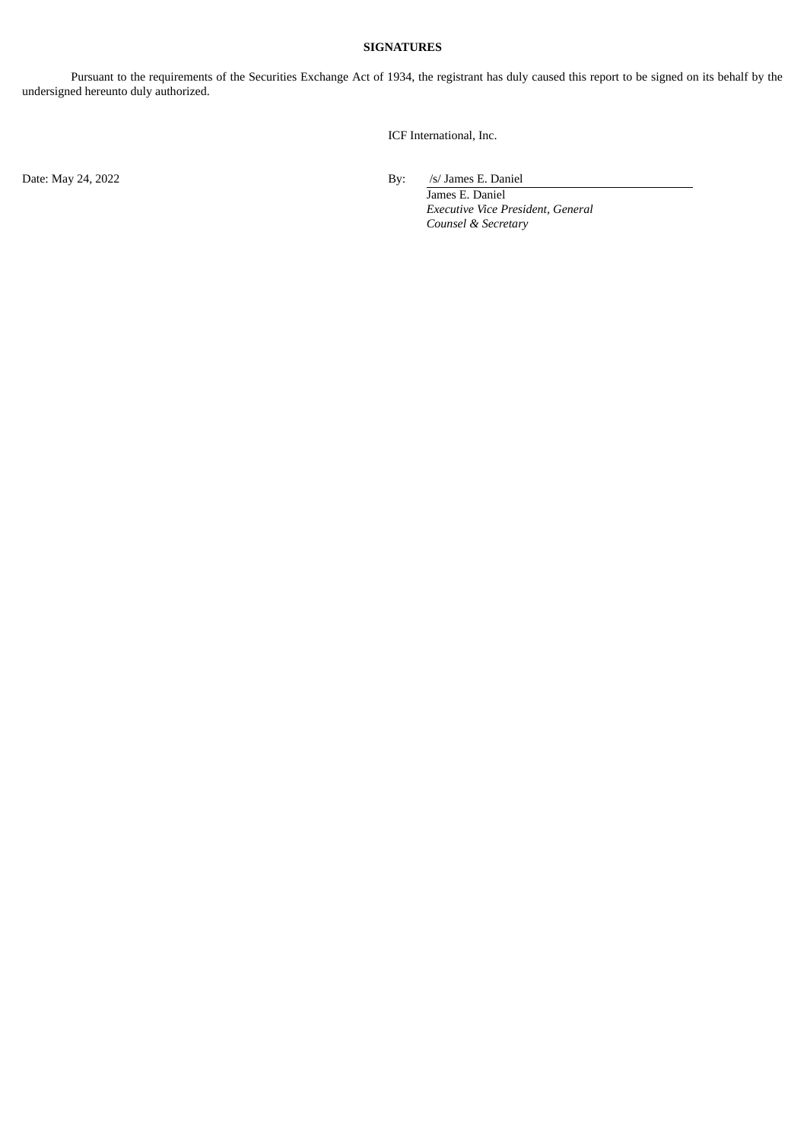# **SIGNATURES**

Pursuant to the requirements of the Securities Exchange Act of 1934, the registrant has duly caused this report to be signed on its behalf by the undersigned hereunto duly authorized.

ICF International, Inc.

Date: May 24, 2022 By: /s/ James E. Daniel

James E. Daniel *Executive Vice President, General Counsel & Secretary*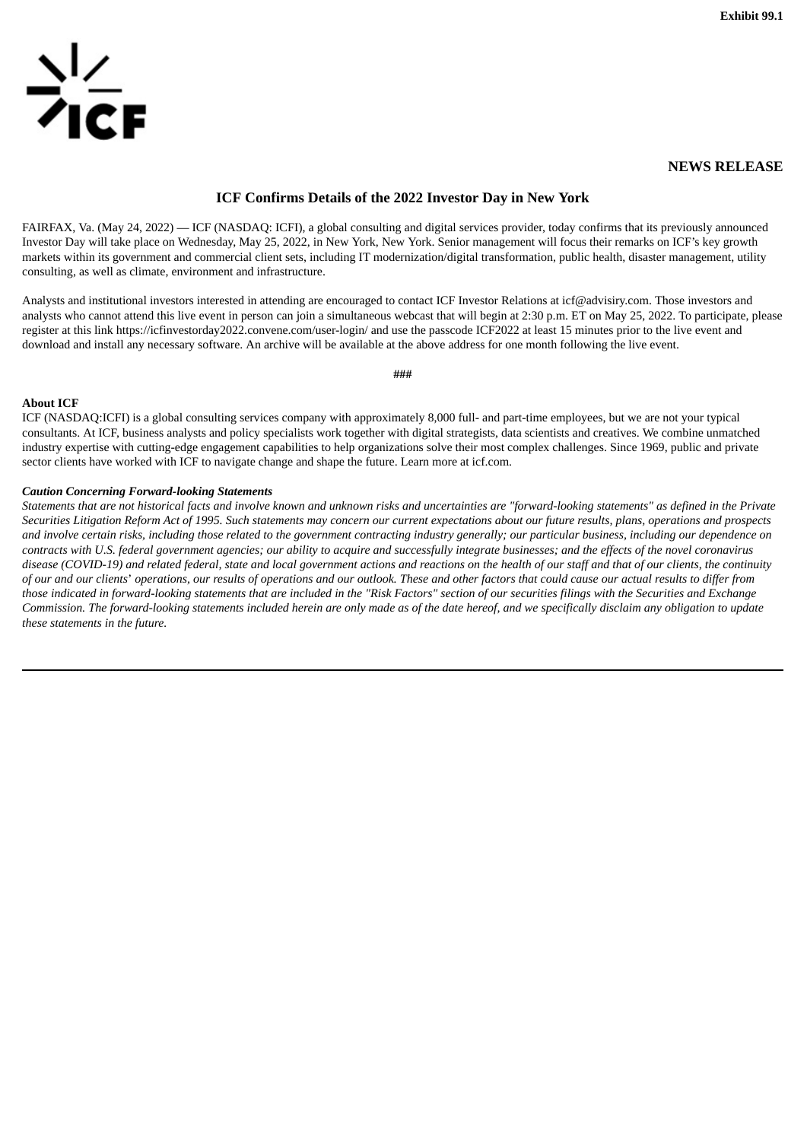<span id="page-3-0"></span>

### **NEWS RELEASE**

# **ICF Confirms Details of the 2022 Investor Day in New York**

FAIRFAX, Va. (May 24, 2022) — ICF (NASDAQ: ICFI), a global consulting and digital services provider, today confirms that its previously announced Investor Day will take place on Wednesday, May 25, 2022, in New York, New York. Senior management will focus their remarks on ICF's key growth markets within its government and commercial client sets, including IT modernization/digital transformation, public health, disaster management, utility consulting, as well as climate, environment and infrastructure.

Analysts and institutional investors interested in attending are encouraged to contact ICF Investor Relations at icf@advisiry.com. Those investors and analysts who cannot attend this live event in person can join a simultaneous webcast that will begin at 2:30 p.m. ET on May 25, 2022. To participate, please register at this link https://icfinvestorday2022.convene.com/user-login/ and use the passcode ICF2022 at least 15 minutes prior to the live event and download and install any necessary software. An archive will be available at the above address for one month following the live event.

**###**

#### **About ICF**

ICF (NASDAQ:ICFI) is a global consulting services company with approximately 8,000 full- and part-time employees, but we are not your typical consultants. At ICF, business analysts and policy specialists work together with digital strategists, data scientists and creatives. We combine unmatched industry expertise with cutting-edge engagement capabilities to help organizations solve their most complex challenges. Since 1969, public and private sector clients have worked with ICF to navigate change and shape the future. Learn more at icf.com.

#### *Caution Concerning Forward-looking Statements*

Statements that are not historical facts and involve known and unknown risks and uncertainties are "forward-looking statements" as defined in the Private Securities Litigation Reform Act of 1995. Such statements may concern our current expectations about our future results, plans, operations and prospects and involve certain risks, including those related to the government contracting industry generally; our particular business, including our dependence on contracts with U.S. federal government agencies; our ability to acquire and successfully integrate businesses; and the effects of the novel coronavirus disease (COVID-19) and related federal, state and local government actions and reactions on the health of our staff and that of our clients, the continuity of our and our clients' operations, our results of operations and our outlook. These and other factors that could cause our actual results to differ from those indicated in forward-looking statements that are included in the "Risk Factors" section of our securities filings with the Securities and Exchange Commission. The forward-looking statements included herein are only made as of the date hereof, and we specifically disclaim any obligation to update *these statements in the future.*